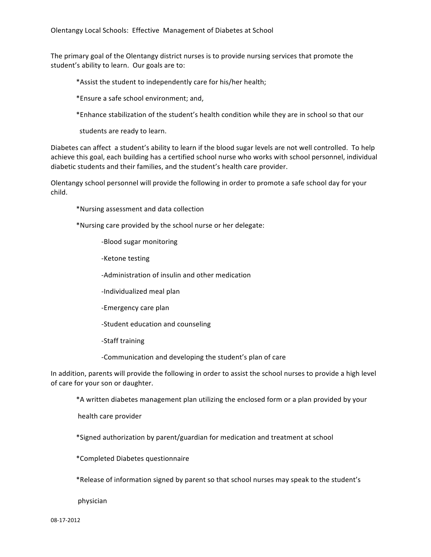The primary goal of the Olentangy district nurses is to provide nursing services that promote the student's ability to learn. Our goals are to:

\*Assist the student to independently care for his/her health;

\*Ensure a safe school environment: and,

\*Enhance stabilization of the student's health condition while they are in school so that our

students are ready to learn.

Diabetes can affect a student's ability to learn if the blood sugar levels are not well controlled. To help achieve this goal, each building has a certified school nurse who works with school personnel, individual diabetic students and their families, and the student's health care provider.

Olentangy school personnel will provide the following in order to promote a safe school day for your child.))

\*Nursing assessment and data collection

\*Nursing care provided by the school nurse or her delegate:

-Blood sugar monitoring

-Ketone testing

-Administration of insulin and other medication

-Individualized meal plan

-Emergency care plan

-Student education and counseling

-Staff training

-Communication and developing the student's plan of care

In addition, parents will provide the following in order to assist the school nurses to provide a high level of care for your son or daughter.

\*A written diabetes management plan utilizing the enclosed form or a plan provided by your

health care provider

\*Signed authorization by parent/guardian for medication and treatment at school

\*Completed)Diabetes)questionnaire

\*Release of information signed by parent so that school nurses may speak to the student's

physician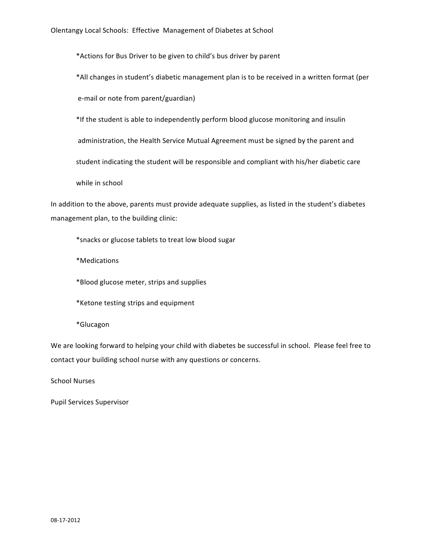\*Actions for Bus Driver to be given to child's bus driver by parent

\*All changes in student's diabetic management plan is to be received in a written format (per

e-mail or note from parent/guardian)

\*If the student is able to independently perform blood glucose monitoring and insulin

administration, the Health Service Mutual Agreement must be signed by the parent and

student indicating the student will be responsible and compliant with his/her diabetic care

while in school

In addition to the above, parents must provide adequate supplies, as listed in the student's diabetes management plan, to the building clinic:

\*snacks or glucose tablets to treat low blood sugar

\*Medications

\*Blood glucose meter, strips and supplies

\*Ketone testing strips and equipment

\*Glucagon

We are looking forward to helping your child with diabetes be successful in school. Please feel free to contact your building school nurse with any questions or concerns.

School Nurses

Pupil Services Supervisor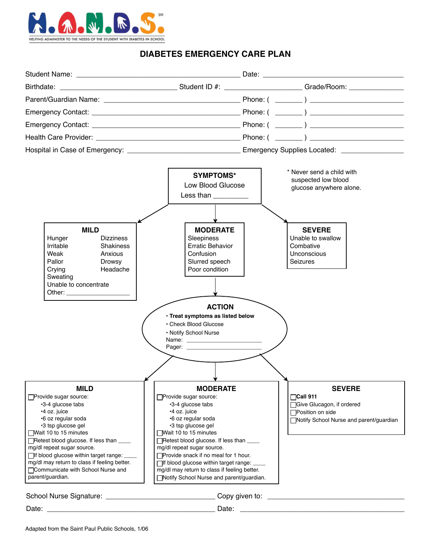

## **DIABETES EMERGENCY CARE PLAN**

| <b>MILD</b><br>Hunger<br><b>Dizziness</b><br>Irritable<br><b>Shakiness</b><br>Weak<br>Anxious                                                                                                                                                                                                                                                                                         | <b>SYMPTOMS*</b><br>Low Blood Glucose<br>Less than $\frac{1}{2}$<br><b>MODERATE</b><br>Sleepiness<br><b>Erratic Behavior</b><br>Confusion                                                                                                                                                                                                                                                                        | * Never send a child with<br>suspected low blood<br>glucose anywhere alone.<br><b>SEVERE</b><br>Unable to swallow<br>Combative<br><b>Unconscious</b> |  |  |
|---------------------------------------------------------------------------------------------------------------------------------------------------------------------------------------------------------------------------------------------------------------------------------------------------------------------------------------------------------------------------------------|------------------------------------------------------------------------------------------------------------------------------------------------------------------------------------------------------------------------------------------------------------------------------------------------------------------------------------------------------------------------------------------------------------------|------------------------------------------------------------------------------------------------------------------------------------------------------|--|--|
| Pallor<br>Drowsy<br>Crying<br>Headache<br>Sweating<br>Unable to concentrate<br>Other: _______________________                                                                                                                                                                                                                                                                         | Slurred speech<br>Poor condition<br><b>ACTION</b><br>· Treat symptoms as listed below<br>• Check Blood Glucose<br>. Notify School Nurse                                                                                                                                                                                                                                                                          | <b>Seizures</b>                                                                                                                                      |  |  |
| <b>MILD</b><br><b>Provide sugar source:</b><br>•3-4 glucose tabs<br>•4 oz. juice<br>•6 oz regular soda<br>•3 tsp glucose gel<br>Wait 10 to 15 minutes<br>□ Retest blood glucose. If less than<br>mg/dl repeat sugar source.<br>□ If blood glucose within target range: ____<br>mg/dl may return to class if feeling better.<br>□Communicate with School Nurse and<br>parent/guardian. | <b>MODERATE</b><br>□ Provide sugar source:<br>∙3-4 glucose tabs<br>•4 oz. juice<br>•6 oz regular soda<br>•3 tsp glucose gel<br>Wait 10 to 15 minutes<br>□ Retest blood glucose. If less than<br>mg/dl repeat sugar source.<br>□Provide snack if no meal for 1 hour.<br>□ If blood glucose within target range: ____<br>mg/dl may return to class if feeling better.<br>□Notify School Nurse and parent/guardian. | <b>SEVERE</b><br><b>Ocall 911</b><br>Give Glucagon, if ordered<br>□Position on side<br>Notify School Nurse and parent/guardian                       |  |  |
|                                                                                                                                                                                                                                                                                                                                                                                       |                                                                                                                                                                                                                                                                                                                                                                                                                  | School Nurse Signature: ______________________________Copy given to: _______________________________                                                 |  |  |
| Date:                                                                                                                                                                                                                                                                                                                                                                                 |                                                                                                                                                                                                                                                                                                                                                                                                                  |                                                                                                                                                      |  |  |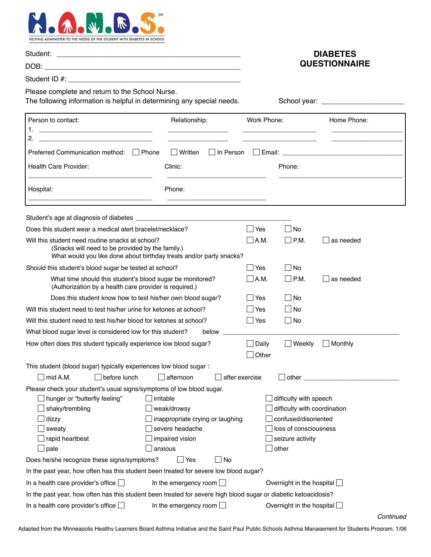

|                                                                                                                                                                             |                                                                                 | <b>DIABETES</b>               |                                                                                                         |                      |
|-----------------------------------------------------------------------------------------------------------------------------------------------------------------------------|---------------------------------------------------------------------------------|-------------------------------|---------------------------------------------------------------------------------------------------------|----------------------|
|                                                                                                                                                                             |                                                                                 |                               |                                                                                                         | <b>QUESTIONNAIRE</b> |
| Please complete and return to the School Nurse.<br>The following information is helpful in determining any special needs.                                                   |                                                                                 |                               |                                                                                                         |                      |
|                                                                                                                                                                             |                                                                                 |                               |                                                                                                         |                      |
| Person to contact:                                                                                                                                                          | Relationship:                                                                   | Work Phone:                   |                                                                                                         | Home Phone:          |
| 2.<br><u> 2000 - Jan James James Jan James James James James James James James James James James James James James James Ja</u>                                             |                                                                                 |                               | the contract of the contract of the contract of                                                         |                      |
| Preferred Communication method:   Phone                                                                                                                                     | $\Box$ Written<br>$\Box$ In Person                                              |                               |                                                                                                         |                      |
| Health Care Provider:                                                                                                                                                       | Clinic:                                                                         |                               | Phone:                                                                                                  |                      |
| Hospital:                                                                                                                                                                   | Phone:                                                                          |                               |                                                                                                         |                      |
|                                                                                                                                                                             |                                                                                 |                               |                                                                                                         |                      |
| Does this student wear a medical alert bracelet/necklace?                                                                                                                   |                                                                                 | ∣ Yes                         | l No<br>$\mathsf{L}$                                                                                    |                      |
| Will this student need routine snacks at school?<br>(Snacks will need to be provided by the family.)<br>What would you like done about birthday treats and/or party snacks? |                                                                                 | $\Box$ A.M.                   | $ $ P.M.                                                                                                | as needed            |
| Should this student's blood sugar be tested at school?                                                                                                                      |                                                                                 | $\Box$ Yes                    | l INo                                                                                                   |                      |
| What time should this student's blood sugar be monitored?<br>(Authorization by a health care provider is required.)                                                         |                                                                                 | $\Box$ A.M.                   | $\Box$ P.M.                                                                                             | as needed            |
| Does this student know how to test his/her own blood sugar?                                                                                                                 |                                                                                 |                               | No                                                                                                      |                      |
| Will this student need to test his/her urine for ketones at school?                                                                                                         |                                                                                 | Yes                           | $\Box$ No                                                                                               |                      |
| Will this student need to test his/her blood for ketones at school?                                                                                                         |                                                                                 | $\Box$ Yes                    | No                                                                                                      |                      |
| What blood sugar level is considered low for this student?                                                                                                                  | below                                                                           |                               |                                                                                                         |                      |
| How often does this student typically experience low blood sugar?                                                                                                           |                                                                                 | $\Box$ Daily<br>$\vert$ Other | Weekly                                                                                                  | Monthly              |
| This student (blood sugar) typically experiences low blood sugar :                                                                                                          |                                                                                 |                               |                                                                                                         |                      |
| $\exists$ mid A.M.<br>before lunch                                                                                                                                          | afternoon                                                                       | after exercise                | other                                                                                                   |                      |
| Please check your student's usual signs/symptoms of low blood sugar.<br>hunger or "butterfly feeling"<br>shaky/trembling<br>dizzy<br>sweaty                                 | irritable<br>weak/drowsy<br>inappropriate crying or laughing<br>severe headache |                               | difficulty with speech<br>difficulty with coordination<br>confused/disoriented<br>loss of consciousness |                      |
| rapid heartbeat<br>$\Box$ pale                                                                                                                                              | impaired vision<br>anxious                                                      |                               | seizure activity<br>other                                                                               |                      |
| Does he/she recognize these signs/symptoms?                                                                                                                                 | $\Box$ No<br> Yes                                                               |                               |                                                                                                         |                      |
| In the past year, how often has this student been treated for severe low blood sugar?                                                                                       |                                                                                 |                               |                                                                                                         |                      |
| In a health care provider's office $\square$                                                                                                                                | In the emergency room $\Box$                                                    |                               | Overnight in the hospital $\Box$                                                                        |                      |
| In the past year, how often has this student been treated for severe high blood sugar or diabetic ketoacidosis?                                                             |                                                                                 |                               |                                                                                                         |                      |
| In a health care provider's office $\Box$<br>In the emergency room $\Box$                                                                                                   |                                                                                 |                               | Overnight in the hospital                                                                               |                      |

Adapted from the Minneapolis Healthy Learners Board Asthma Initiative and the Saint Paul Public Schools Asthma Management for Students Program, 1/06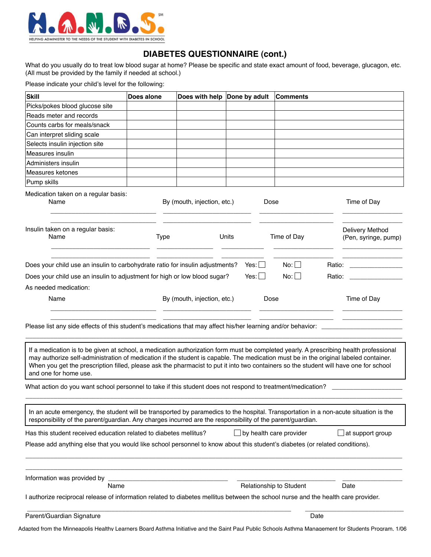

## **DIABETES QUESTIONNAIRE (cont.)**

What do you usually do to treat low blood sugar at home? Please be specific and state exact amount of food, beverage, glucagon, etc. (All must be provided by the family if needed at school.)

Please indicate your child's level for the following:

| Picks/pokes blood glucose site                                                                                                                                                                                                                                                                                                                                                                                                                  | Does alone  | Does with help Done by adult |                                | Comments                           |                                         |
|-------------------------------------------------------------------------------------------------------------------------------------------------------------------------------------------------------------------------------------------------------------------------------------------------------------------------------------------------------------------------------------------------------------------------------------------------|-------------|------------------------------|--------------------------------|------------------------------------|-----------------------------------------|
|                                                                                                                                                                                                                                                                                                                                                                                                                                                 |             |                              |                                |                                    |                                         |
| Reads meter and records                                                                                                                                                                                                                                                                                                                                                                                                                         |             |                              |                                |                                    |                                         |
| Counts carbs for meals/snack                                                                                                                                                                                                                                                                                                                                                                                                                    |             |                              |                                |                                    |                                         |
| Can interpret sliding scale                                                                                                                                                                                                                                                                                                                                                                                                                     |             |                              |                                |                                    |                                         |
| Selects insulin injection site                                                                                                                                                                                                                                                                                                                                                                                                                  |             |                              |                                |                                    |                                         |
| Measures insulin                                                                                                                                                                                                                                                                                                                                                                                                                                |             |                              |                                |                                    |                                         |
| Administers insulin                                                                                                                                                                                                                                                                                                                                                                                                                             |             |                              |                                |                                    |                                         |
| <b>Measures ketones</b>                                                                                                                                                                                                                                                                                                                                                                                                                         |             |                              |                                |                                    |                                         |
| Pump skills                                                                                                                                                                                                                                                                                                                                                                                                                                     |             |                              |                                |                                    |                                         |
| Medication taken on a regular basis:<br>Name                                                                                                                                                                                                                                                                                                                                                                                                    |             | By (mouth, injection, etc.)  | Dose                           |                                    | Time of Day                             |
| Insulin taken on a regular basis:<br>Name                                                                                                                                                                                                                                                                                                                                                                                                       | <b>Type</b> |                              | Units                          | Time of Day                        | Delivery Method<br>(Pen, syringe, pump) |
| Does your child use an insulin to carbohydrate ratio for insulin adjustments?<br>Does your child use an insulin to adjustment for high or low blood sugar?<br>As needed medication:                                                                                                                                                                                                                                                             |             |                              | $Yes: \Box$<br>$Yes: \Box$     | No: $\Box$<br>No: $\Box$<br>Ratio: |                                         |
| Name                                                                                                                                                                                                                                                                                                                                                                                                                                            |             | By (mouth, injection, etc.)  | Dose                           |                                    | Time of Day                             |
|                                                                                                                                                                                                                                                                                                                                                                                                                                                 |             |                              |                                |                                    |                                         |
| If a medication is to be given at school, a medication authorization form must be completed yearly. A prescribing health professional<br>may authorize self-administration of medication if the student is capable. The medication must be in the original labeled container.<br>When you get the prescription filled, please ask the pharmacist to put it into two containers so the student will have one for school<br>and one for home use. |             |                              |                                |                                    |                                         |
|                                                                                                                                                                                                                                                                                                                                                                                                                                                 |             |                              |                                |                                    |                                         |
| In an acute emergency, the student will be transported by paramedics to the hospital. Transportation in a non-acute situation is the<br>responsibility of the parent/guardian. Any charges incurred are the responsibility of the parent/guardian.                                                                                                                                                                                              |             |                              |                                |                                    |                                         |
| What action do you want school personnel to take if this student does not respond to treatment/medication?<br>Has this student received education related to diabetes mellitus?                                                                                                                                                                                                                                                                 |             |                              | $\Box$ by health care provider |                                    | at support group                        |
|                                                                                                                                                                                                                                                                                                                                                                                                                                                 |             |                              |                                |                                    |                                         |
|                                                                                                                                                                                                                                                                                                                                                                                                                                                 |             |                              |                                |                                    |                                         |
| Name                                                                                                                                                                                                                                                                                                                                                                                                                                            |             |                              |                                | Relationship to Student            | Date                                    |
| Please add anything else that you would like school personnel to know about this student's diabetes (or related conditions).<br>Information was provided by<br>I authorize reciprocal release of information related to diabetes mellitus between the school nurse and the health care provider.                                                                                                                                                |             |                              |                                |                                    |                                         |
| Parent/Guardian Signature                                                                                                                                                                                                                                                                                                                                                                                                                       |             |                              |                                | Date                               |                                         |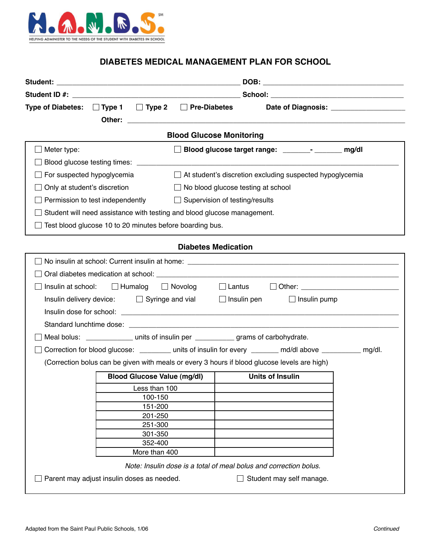

# **DIABETES MEDICAL MANAGEMENT PLAN FOR SCHOOL**

|                            | Type of Diabetes: $\Box$ Type 1 $\Box$ Type 2 $\Box$ Pre-Diabetes<br>Other: | <u> 1980 - Jan Barnett, fransk politik (d. 1980)</u>                                                       |  |  |
|----------------------------|-----------------------------------------------------------------------------|------------------------------------------------------------------------------------------------------------|--|--|
|                            |                                                                             | <b>Blood Glucose Monitoring</b>                                                                            |  |  |
| Meter type:                |                                                                             | □ Blood glucose target range: _____________ mg/dl                                                          |  |  |
|                            |                                                                             |                                                                                                            |  |  |
| For suspected hypoglycemia |                                                                             | $\Box$ At student's discretion excluding suspected hypoglycemia                                            |  |  |
|                            | Only at student's discretion                                                | $\Box$ No blood glucose testing at school                                                                  |  |  |
|                            | Permission to test independently $\Box$ Supervision of testing/results      |                                                                                                            |  |  |
|                            | Student will need assistance with testing and blood glucose management.     |                                                                                                            |  |  |
|                            | Test blood glucose 10 to 20 minutes before boarding bus.                    |                                                                                                            |  |  |
|                            |                                                                             |                                                                                                            |  |  |
|                            |                                                                             | <b>Diabetes Medication</b>                                                                                 |  |  |
|                            |                                                                             |                                                                                                            |  |  |
|                            |                                                                             |                                                                                                            |  |  |
|                            | Insulin at school: $\Box$ Humalog $\Box$ Novolog $\Box$ Lantus              |                                                                                                            |  |  |
|                            | Insulin delivery device: $\Box$ Syringe and vial $\Box$ Insulin pen         | $\Box$ Insulin pump                                                                                        |  |  |
|                            |                                                                             |                                                                                                            |  |  |
|                            |                                                                             |                                                                                                            |  |  |
|                            |                                                                             | Meal bolus: _________________ units of insulin per _____________ grams of carbohydrate.                    |  |  |
|                            |                                                                             | Correction for blood glucose: __________ units of insulin for every ________ md/dl above __________ mg/dl. |  |  |
|                            |                                                                             | (Correction bolus can be given with meals or every 3 hours if blood glucose levels are high)               |  |  |
|                            | <b>Blood Glucose Value (mg/dl)</b>                                          | <b>Units of Insulin</b>                                                                                    |  |  |
|                            | Less than 100                                                               |                                                                                                            |  |  |
|                            | 100-150                                                                     |                                                                                                            |  |  |
|                            | 151-200                                                                     |                                                                                                            |  |  |
|                            | 201-250<br>251-300                                                          |                                                                                                            |  |  |
|                            | 301-350                                                                     |                                                                                                            |  |  |
|                            | 352-400                                                                     |                                                                                                            |  |  |
|                            | More than 400                                                               |                                                                                                            |  |  |
|                            |                                                                             | Note: Insulin dose is a total of meal bolus and correction bolus.                                          |  |  |
|                            | Parent may adjust insulin doses as needed.                                  | Student may self manage.                                                                                   |  |  |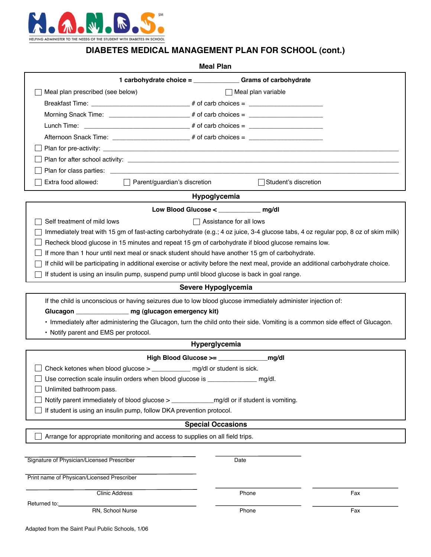

## **DIABETES MEDICAL MANAGEMENT PLAN FOR SCHOOL (cont.)**

| <b>Meal Plan</b>                                                                  |                                                                                                                                    |                         |     |  |  |
|-----------------------------------------------------------------------------------|------------------------------------------------------------------------------------------------------------------------------------|-------------------------|-----|--|--|
|                                                                                   | 1 carbohydrate choice = _________________Grams of carbohydrate                                                                     |                         |     |  |  |
| Meal plan prescribed (see below)<br>$\Box$ Meal plan variable                     |                                                                                                                                    |                         |     |  |  |
|                                                                                   |                                                                                                                                    |                         |     |  |  |
|                                                                                   |                                                                                                                                    |                         |     |  |  |
|                                                                                   |                                                                                                                                    |                         |     |  |  |
| Afternoon Snack Time: ________________________# of carb choices = _______________ |                                                                                                                                    |                         |     |  |  |
|                                                                                   |                                                                                                                                    |                         |     |  |  |
|                                                                                   |                                                                                                                                    |                         |     |  |  |
|                                                                                   |                                                                                                                                    |                         |     |  |  |
| Extra food allowed:                                                               | $\Box$ Parent/guardian's discretion                                                                                                | Student's discretion    |     |  |  |
|                                                                                   | Hypoglycemia                                                                                                                       |                         |     |  |  |
|                                                                                   | Low Blood Glucose < _______________ mg/dl                                                                                          |                         |     |  |  |
| Self treatment of mild lows                                                       |                                                                                                                                    | Assistance for all lows |     |  |  |
|                                                                                   | Immediately treat with 15 gm of fast-acting carbohydrate (e.g.; 4 oz juice, 3-4 glucose tabs, 4 oz regular pop, 8 oz of skim milk) |                         |     |  |  |
|                                                                                   | Recheck blood glucose in 15 minutes and repeat 15 gm of carbohydrate if blood glucose remains low.                                 |                         |     |  |  |
|                                                                                   | If more than 1 hour until next meal or snack student should have another 15 gm of carbohydrate.                                    |                         |     |  |  |
|                                                                                   | If child will be participating in additional exercise or activity before the next meal, provide an additional carbohydrate choice. |                         |     |  |  |
|                                                                                   | If student is using an insulin pump, suspend pump until blood glucose is back in goal range.                                       |                         |     |  |  |
|                                                                                   | Severe Hypoglycemia                                                                                                                |                         |     |  |  |
|                                                                                   | If the child is unconscious or having seizures due to low blood glucose immediately administer injection of:                       |                         |     |  |  |
|                                                                                   | Glucagon ____________________ mg (glucagon emergency kit)                                                                          |                         |     |  |  |
|                                                                                   | · Immediately after administering the Glucagon, turn the child onto their side. Vomiting is a common side effect of Glucagon.      |                         |     |  |  |
| • Notify parent and EMS per protocol.                                             |                                                                                                                                    |                         |     |  |  |
|                                                                                   | Hyperglycemia                                                                                                                      |                         |     |  |  |
|                                                                                   |                                                                                                                                    |                         |     |  |  |
|                                                                                   | Check ketones when blood glucose > ______________ mg/dl or student is sick.                                                        |                         |     |  |  |
| Use correction scale insulin orders when blood glucose is ____________<br>mg/dl.  |                                                                                                                                    |                         |     |  |  |
| Unlimited bathroom pass.                                                          |                                                                                                                                    |                         |     |  |  |
|                                                                                   |                                                                                                                                    |                         |     |  |  |
|                                                                                   | If student is using an insulin pump, follow DKA prevention protocol.                                                               |                         |     |  |  |
|                                                                                   | <b>Special Occasions</b>                                                                                                           |                         |     |  |  |
|                                                                                   | Arrange for appropriate monitoring and access to supplies on all field trips.                                                      |                         |     |  |  |
|                                                                                   |                                                                                                                                    |                         |     |  |  |
| Signature of Physician/Licensed Prescriber                                        |                                                                                                                                    | Date                    |     |  |  |
| Print name of Physican/Licensed Prescriber                                        |                                                                                                                                    |                         |     |  |  |
| <b>Clinic Address</b>                                                             |                                                                                                                                    | Phone                   | Fax |  |  |
| Returned to:                                                                      |                                                                                                                                    |                         |     |  |  |
| RN, School Nurse                                                                  |                                                                                                                                    | Phone                   | Fax |  |  |
|                                                                                   |                                                                                                                                    |                         |     |  |  |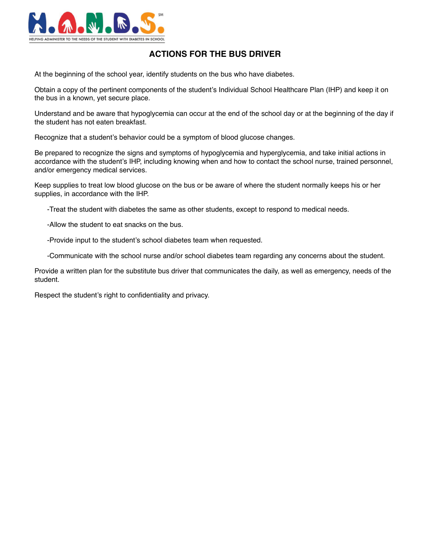

#### **ACTIONS FOR THE BUS DRIVER**

At the beginning of the school year, identify students on the bus who have diabetes.

Obtain a copy of the pertinent components of the student's Individual School Healthcare Plan (IHP) and keep it on the bus in a known, yet secure place.

Understand and be aware that hypoglycemia can occur at the end of the school day or at the beginning of the day if the student has not eaten breakfast.

Recognize that a student's behavior could be a symptom of blood glucose changes.

Be prepared to recognize the signs and symptoms of hypoglycemia and hyperglycemia, and take initial actions in accordance with the student's IHP, including knowing when and how to contact the school nurse, trained personnel, and/or emergency medical services.

Keep supplies to treat low blood glucose on the bus or be aware of where the student normally keeps his or her supplies, in accordance with the IHP.

-Treat the student with diabetes the same as other students, except to respond to medical needs.

-Allow the student to eat snacks on the bus.

-Provide input to the student's school diabetes team when requested.

-Communicate with the school nurse and/or school diabetes team regarding any concerns about the student.

Provide a written plan for the substitute bus driver that communicates the daily, as well as emergency, needs of the student.

Respect the student's right to confidentiality and privacy.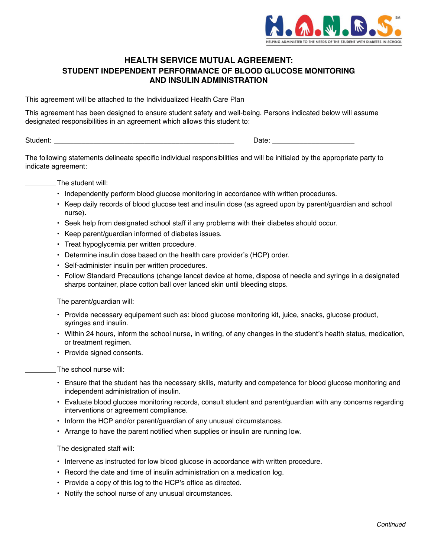

#### **HEALTH SERVICE MUTUAL AGREEMENT: STUDENT INDEPENDENT PERFORMANCE OF BLOOD GLUCOSE MONITORING AND INSULIN ADMINISTRATION**

This agreement will be attached to the Individualized Health Care Plan

This agreement has been designed to ensure student safety and well-being. Persons indicated below will assume designated responsibilities in an agreement which allows this student to:

Student: \_\_\_\_\_\_\_\_\_\_\_\_\_\_\_\_\_\_\_\_\_\_\_\_\_\_\_\_\_\_\_\_\_\_\_\_\_\_\_\_\_\_\_\_\_\_ \_\_\_\_\_\_\_\_\_\_\_\_\_\_\_\_\_\_\_\_\_ Date:

The following statements delineate specific individual responsibilities and will be initialed by the appropriate party to indicate agreement:

The student will:

- Independently perform blood glucose monitoring in accordance with written procedures.
- Keep daily records of blood glucose test and insulin dose (as agreed upon by parent/guardian and school nurse).
- Seek help from designated school staff if any problems with their diabetes should occur.
- Keep parent/guardian informed of diabetes issues.
- Treat hypoglycemia per written procedure.
- Determine insulin dose based on the health care provider's (HCP) order.
- Self-administer insulin per written procedures.
- Follow Standard Precautions (change lancet device at home, dispose of needle and syringe in a designated sharps container, place cotton ball over lanced skin until bleeding stops.

The parent/guardian will:

- Provide necessary equipement such as: blood glucose monitoring kit, juice, snacks, glucose product, syringes and insulin.
- Within 24 hours, inform the school nurse, in writing, of any changes in the student's health status, medication, or treatment regimen.
- Provide signed consents.

The school nurse will:

- Ensure that the student has the necessary skills, maturity and competence for blood glucose monitoring and independent administration of insulin.
- Evaluate blood glucose monitoring records, consult student and parent/guardian with any concerns regarding interventions or agreement compliance.
- Inform the HCP and/or parent/guardian of any unusual circumstances.
- Arrange to have the parent notified when supplies or insulin are running low.
- The designated staff will:
	- Intervene as instructed for low blood glucose in accordance with written procedure.
	- Record the date and time of insulin administration on a medication log.
	- Provide a copy of this log to the HCP's office as directed.
	- Notify the school nurse of any unusual circumstances.